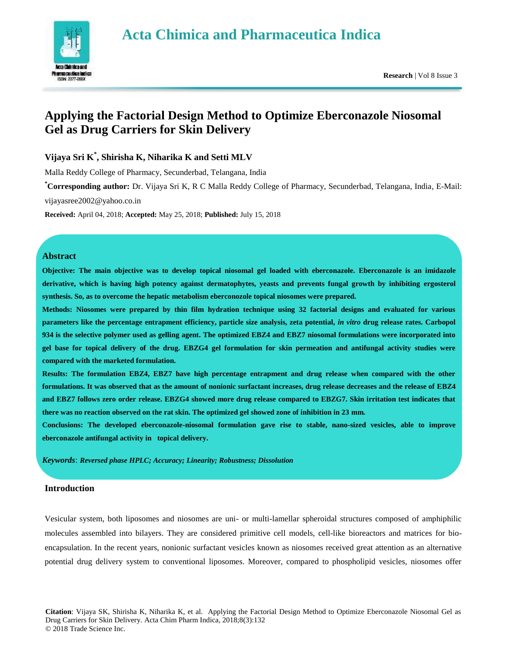# **Acta Chimica and Pharmaceutica Indica**



## **Applying the Factorial Design Method to Optimize Eberconazole Niosomal Gel as Drug Carriers for Skin Delivery**

## **Vijaya Sri K\* , Shirisha K, Niharika K and Setti MLV**

Malla Reddy College of Pharmacy, Secunderbad, Telangana, India

**\*Corresponding author:** Dr. Vijaya Sri K, R C Malla Reddy College of Pharmacy, Secunderbad, Telangana, India, E-Mail: vijayasree2002@yahoo.co.in

**Received:** April 04, 2018; **Accepted:** May 25, 2018; **Published:** July 15, 2018

## **Abstract**

**Objective: The main objective was to develop topical niosomal gel loaded with eberconazole. Eberconazole is an imidazole derivative, which is having high potency against dermatophytes, yeasts and prevents fungal growth by inhibiting ergosterol synthesis. So, as to overcome the hepatic metabolism eberconozole topical niosomes were prepared.** 

**Methods: Niosomes were prepared by thin film hydration technique using 32 factorial designs and evaluated for various parameters like the percentage entrapment efficiency, particle size analysis, zeta potential,** *in vitro* **drug release rates. Carbopol 934 is the selective polymer used as gelling agent. The optimized EBZ4 and EBZ7 niosomal formulations were incorporated into gel base for topical delivery of the drug. EBZG4 gel formulation for skin permeation and antifungal activity studies were compared with the marketed formulation.**

**Results: The formulation EBZ4, EBZ7 have high percentage entrapment and drug release when compared with the other formulations. It was observed that as the amount of nonionic surfactant increases, drug release decreases and the release of EBZ4 and EBZ7 follows zero order release. EBZG4 showed more drug release compared to EBZG7. Skin irritation test indicates that there was no reaction observed on the rat skin. The optimized gel showed zone of inhibition in 23 mm.**

**Conclusions: The developed eberconazole-niosomal formulation gave rise to stable, nano-sized vesicles, able to improve eberconazole antifungal activity in topical delivery.**

*Keywords*: *Reversed phase HPLC; Accuracy; Linearity; Robustness; Dissolution*

## **Introduction**

Vesicular system, both liposomes and niosomes are uni- or multi-lamellar spheroidal structures composed of amphiphilic molecules assembled into bilayers. They are considered primitive cell models, cell-like bioreactors and matrices for bioencapsulation. In the recent years, nonionic surfactant vesicles known as niosomes received great attention as an alternative potential drug delivery system to conventional liposomes. Moreover, compared to phospholipid vesicles, niosomes offer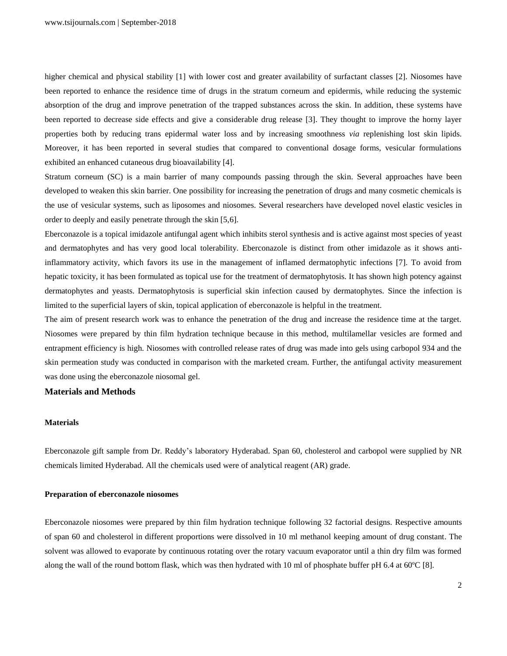higher chemical and physical stability [1] with lower cost and greater availability of surfactant classes [2]. Niosomes have been reported to enhance the residence time of drugs in the stratum corneum and epidermis, while reducing the systemic absorption of the drug and improve penetration of the trapped substances across the skin. In addition, these systems have been reported to decrease side effects and give a considerable drug release [3]. They thought to improve the horny layer properties both by reducing trans epidermal water loss and by increasing smoothness *via* replenishing lost skin lipids. Moreover, it has been reported in several studies that compared to conventional dosage forms, vesicular formulations exhibited an enhanced cutaneous drug bioavailability [4].

Stratum corneum (SC) is a main barrier of many compounds passing through the skin. Several approaches have been developed to weaken this skin barrier. One possibility for increasing the penetration of drugs and many cosmetic chemicals is the use of vesicular systems, such as liposomes and niosomes. Several researchers have developed novel elastic vesicles in order to deeply and easily penetrate through the skin [5,6].

Eberconazole is a topical imidazole antifungal agent which inhibits sterol synthesis and is active against most species of yeast and dermatophytes and has very good local tolerability. Eberconazole is distinct from other imidazole as it shows antiinflammatory activity, which favors its use in the management of inflamed dermatophytic infections [7]. To avoid from hepatic toxicity, it has been formulated as topical use for the treatment of dermatophytosis. It has shown high potency against dermatophytes and yeasts. Dermatophytosis is superficial skin infection caused by dermatophytes. Since the infection is limited to the superficial layers of skin, topical application of eberconazole is helpful in the treatment.

The aim of present research work was to enhance the penetration of the drug and increase the residence time at the target. Niosomes were prepared by thin film hydration technique because in this method, multilamellar vesicles are formed and entrapment efficiency is high. Niosomes with controlled release rates of drug was made into gels using carbopol 934 and the skin permeation study was conducted in comparison with the marketed cream. Further, the antifungal activity measurement was done using the eberconazole niosomal gel.

## **Materials and Methods**

## **Materials**

Eberconazole gift sample from Dr. Reddy's laboratory Hyderabad. Span 60, cholesterol and carbopol were supplied by NR chemicals limited Hyderabad. All the chemicals used were of analytical reagent (AR) grade.

#### **Preparation of eberconazole niosomes**

Eberconazole niosomes were prepared by thin film hydration technique following 32 factorial designs. Respective amounts of span 60 and cholesterol in different proportions were dissolved in 10 ml methanol keeping amount of drug constant. The solvent was allowed to evaporate by continuous rotating over the rotary vacuum evaporator until a thin dry film was formed along the wall of the round bottom flask, which was then hydrated with 10 ml of phosphate buffer pH 6.4 at 60ºC [8].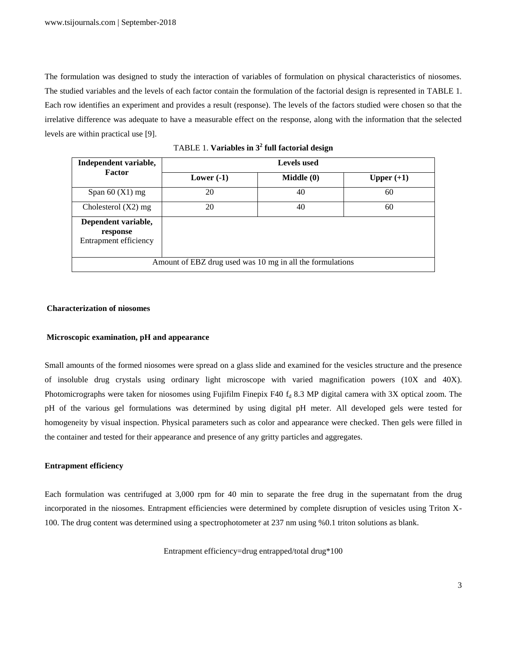The formulation was designed to study the interaction of variables of formulation on physical characteristics of niosomes. The studied variables and the levels of each factor contain the formulation of the factorial design is represented in TABLE 1. Each row identifies an experiment and provides a result (response). The levels of the factors studied were chosen so that the irrelative difference was adequate to have a measurable effect on the response, along with the information that the selected levels are within practical use [9].

| Independent variable,                                     | <b>Levels</b> used |            |              |  |  |
|-----------------------------------------------------------|--------------------|------------|--------------|--|--|
| <b>Factor</b>                                             | Lower $(-1)$       | Middle (0) | Upper $(+1)$ |  |  |
| Span $60$ (X1) mg                                         | 20                 | 40         | 60           |  |  |
| Cholesterol $(X2)$ mg                                     | 20                 | 40         | 60           |  |  |
| Dependent variable,<br>response<br>Entrapment efficiency  |                    |            |              |  |  |
| Amount of EBZ drug used was 10 mg in all the formulations |                    |            |              |  |  |

TABLE 1. **Variables in 3<sup>2</sup> full factorial design**

#### **Characterization of niosomes**

#### **Microscopic examination, pH and appearance**

Small amounts of the formed niosomes were spread on a glass slide and examined for the vesicles structure and the presence of insoluble drug crystals using ordinary light microscope with varied magnification powers (10X and 40X). Photomicrographs were taken for niosomes using Fujifilm Finepix F40  $f_d$  8.3 MP digital camera with 3X optical zoom. The pH of the various gel formulations was determined by using digital pH meter. All developed gels were tested for homogeneity by visual inspection. Physical parameters such as color and appearance were checked. Then gels were filled in the container and tested for their appearance and presence of any gritty particles and aggregates.

#### **Entrapment efficiency**

Each formulation was centrifuged at 3,000 rpm for 40 min to separate the free drug in the supernatant from the drug incorporated in the niosomes. Entrapment efficiencies were determined by complete disruption of vesicles using Triton X-100. The drug content was determined using a spectrophotometer at 237 nm using %0.1 triton solutions as blank.

Entrapment efficiency=drug entrapped/total drug\*100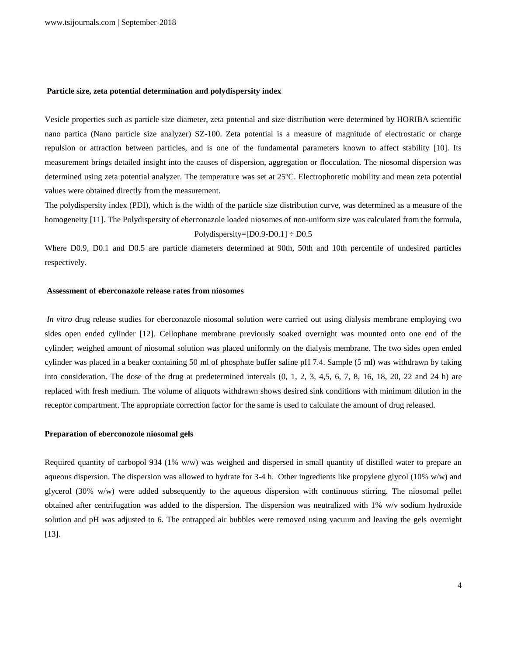#### **Particle size, zeta potential determination and polydispersity index**

Vesicle properties such as particle size diameter, zeta potential and size distribution were determined by HORIBA scientific nano partica (Nano particle size analyzer) SZ-100. Zeta potential is a measure of magnitude of electrostatic or charge repulsion or attraction between particles, and is one of the fundamental parameters known to affect stability [10]. Its measurement brings detailed insight into the causes of dispersion, aggregation or flocculation. The niosomal dispersion was determined using zeta potential analyzer. The temperature was set at 25ºC. Electrophoretic mobility and mean zeta potential values were obtained directly from the measurement.

The polydispersity index (PDI), which is the width of the particle size distribution curve, was determined as a measure of the homogeneity [11]. The Polydispersity of eberconazole loaded niosomes of non-uniform size was calculated from the formula, Polydispersity= $[D0.9-D0.1] \div D0.5$ 

Where D0.9, D0.1 and D0.5 are particle diameters determined at 90th, 50th and 10th percentile of undesired particles respectively.

## **Assessment of eberconazole release rates from niosomes**

*In vitro* drug release studies for eberconazole niosomal solution were carried out using dialysis membrane employing two sides open ended cylinder [12]. Cellophane membrane previously soaked overnight was mounted onto one end of the cylinder; weighed amount of niosomal solution was placed uniformly on the dialysis membrane. The two sides open ended cylinder was placed in a beaker containing 50 ml of phosphate buffer saline pH 7.4. Sample (5 ml) was withdrawn by taking into consideration. The dose of the drug at predetermined intervals (0, 1, 2, 3, 4,5, 6, 7, 8, 16, 18, 20, 22 and 24 h) are replaced with fresh medium. The volume of aliquots withdrawn shows desired sink conditions with minimum dilution in the receptor compartment. The appropriate correction factor for the same is used to calculate the amount of drug released.

#### **Preparation of eberconozole niosomal gels**

Required quantity of carbopol 934 (1% w/w) was weighed and dispersed in small quantity of distilled water to prepare an aqueous dispersion. The dispersion was allowed to hydrate for 3-4 h. Other ingredients like propylene glycol (10% w/w) and glycerol (30% w/w) were added subsequently to the aqueous dispersion with continuous stirring. The niosomal pellet obtained after centrifugation was added to the dispersion. The dispersion was neutralized with 1% w/v sodium hydroxide solution and pH was adjusted to 6. The entrapped air bubbles were removed using vacuum and leaving the gels overnight [13].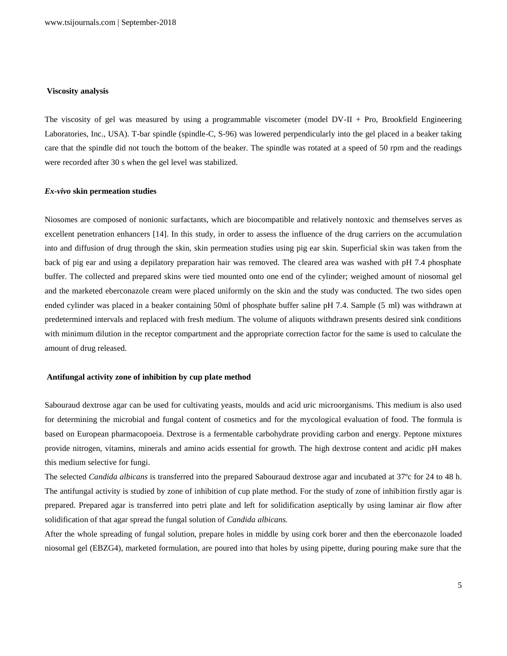#### **Viscosity analysis**

The viscosity of gel was measured by using a programmable viscometer (model DV-II + Pro, Brookfield Engineering Laboratories, Inc., USA). T-bar spindle (spindle-C, S-96) was lowered perpendicularly into the gel placed in a beaker taking care that the spindle did not touch the bottom of the beaker. The spindle was rotated at a speed of 50 rpm and the readings were recorded after 30 s when the gel level was stabilized.

#### *Ex-vivo* **skin permeation studies**

Niosomes are composed of nonionic surfactants, which are biocompatible and relatively nontoxic and themselves serves as excellent penetration enhancers [14]. In this study, in order to assess the influence of the drug carriers on the accumulation into and diffusion of drug through the skin, skin permeation studies using pig ear skin. Superficial skin was taken from the back of pig ear and using a depilatory preparation hair was removed. The cleared area was washed with pH 7.4 phosphate buffer. The collected and prepared skins were tied mounted onto one end of the cylinder; weighed amount of niosomal gel and the marketed eberconazole cream were placed uniformly on the skin and the study was conducted. The two sides open ended cylinder was placed in a beaker containing 50ml of phosphate buffer saline pH 7.4. Sample (5 ml) was withdrawn at predetermined intervals and replaced with fresh medium. The volume of aliquots withdrawn presents desired sink conditions with minimum dilution in the receptor compartment and the appropriate correction factor for the same is used to calculate the amount of drug released.

#### **Antifungal activity zone of inhibition by cup plate method**

Sabouraud dextrose agar can be used for cultivating yeasts, moulds and acid uric microorganisms. This medium is also used for determining the microbial and fungal content of cosmetics and for the mycological evaluation of food. The formula is based on European pharmacopoeia. Dextrose is a fermentable carbohydrate providing carbon and energy. Peptone mixtures provide nitrogen, vitamins, minerals and amino acids essential for growth. The high dextrose content and acidic pH makes this medium selective for fungi.

The selected *Candida albicans* is transferred into the prepared Sabouraud dextrose agar and incubated at 37ºc for 24 to 48 h. The antifungal activity is studied by zone of inhibition of cup plate method. For the study of zone of inhibition firstly agar is prepared. Prepared agar is transferred into petri plate and left for solidification aseptically by using laminar air flow after solidification of that agar spread the fungal solution of *Candida albicans.*

After the whole spreading of fungal solution, prepare holes in middle by using cork borer and then the eberconazole loaded niosomal gel (EBZG4), marketed formulation, are poured into that holes by using pipette, during pouring make sure that the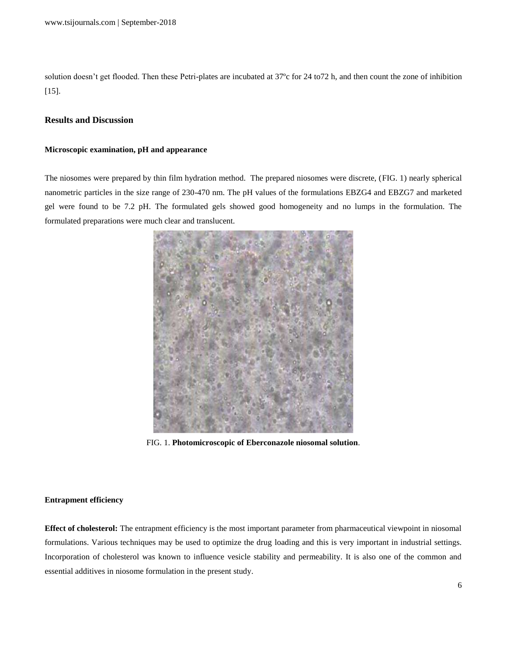solution doesn't get flooded. Then these Petri-plates are incubated at 37ºc for 24 to72 h, and then count the zone of inhibition [15].

## **Results and Discussion**

## **Microscopic examination, pH and appearance**

The niosomes were prepared by thin film hydration method. The prepared niosomes were discrete, (FIG. 1) nearly spherical nanometric particles in the size range of 230-470 nm. The pH values of the formulations EBZG4 and EBZG7 and marketed gel were found to be 7.2 pH. The formulated gels showed good homogeneity and no lumps in the formulation. The formulated preparations were much clear and translucent.



FIG. 1. **Photomicroscopic of Eberconazole niosomal solution**.

#### **Entrapment efficiency**

**Effect of cholesterol:** The entrapment efficiency is the most important parameter from pharmaceutical viewpoint in niosomal formulations. Various techniques may be used to optimize the drug loading and this is very important in industrial settings. Incorporation of cholesterol was known to influence vesicle stability and permeability. It is also one of the common and essential additives in niosome formulation in the present study.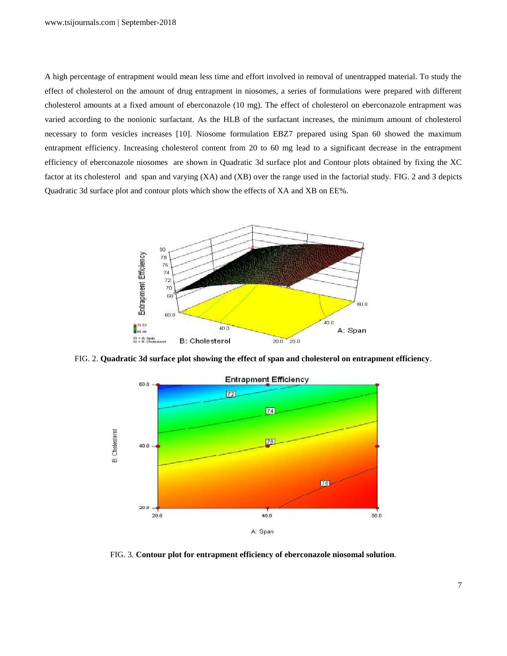A high percentage of entrapment would mean less time and effort involved in removal of unentrapped material. To study the effect of cholesterol on the amount of drug entrapment in niosomes, a series of formulations were prepared with different cholesterol amounts at a fixed amount of eberconazole (10 mg). The effect of cholesterol on eberconazole entrapment was varied according to the nonionic surfactant. As the HLB of the surfactant increases, the minimum amount of cholesterol necessary to form vesicles increases [10]. Niosome formulation EBZ7 prepared using Span 60 showed the maximum entrapment efficiency. Increasing cholesterol content from 20 to 60 mg lead to a significant decrease in the entrapment efficiency of eberconazole niosomes are shown in Quadratic 3d surface plot and Contour plots obtained by fixing the XC factor at its cholesterol and span and varying (XA) and (XB) over the range used in the factorial study. FIG. 2 and 3 depicts Quadratic 3d surface plot and contour plots which show the effects of XA and XB on EE%.



FIG. 2. **Quadratic 3d surface plot showing the effect of span and cholesterol on entrapment efficiency**.



FIG. 3. **Contour plot for entrapment efficiency of eberconazole niosomal solution**.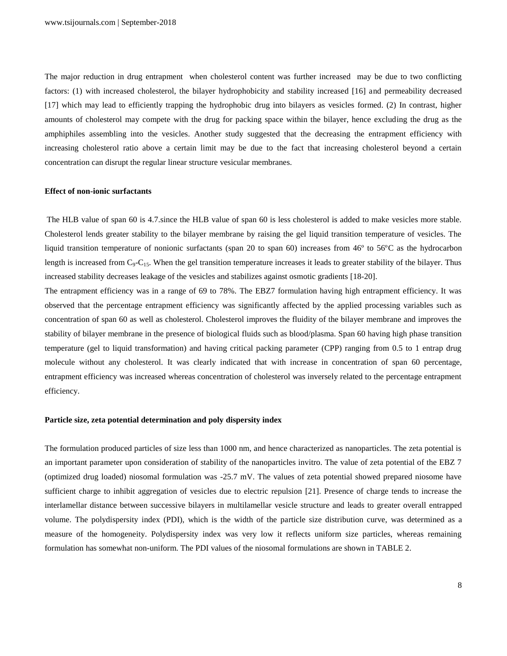The major reduction in drug entrapment when cholesterol content was further increased may be due to two conflicting factors: (1) with increased cholesterol, the bilayer hydrophobicity and stability increased [16] and permeability decreased [17] which may lead to efficiently trapping the hydrophobic drug into bilayers as vesicles formed. (2) In contrast, higher amounts of cholesterol may compete with the drug for packing space within the bilayer, hence excluding the drug as the amphiphiles assembling into the vesicles. Another study suggested that the decreasing the entrapment efficiency with increasing cholesterol ratio above a certain limit may be due to the fact that increasing cholesterol beyond a certain concentration can disrupt the regular linear structure vesicular membranes.

#### **Effect of non-ionic surfactants**

The HLB value of span 60 is 4.7.since the HLB value of span 60 is less cholesterol is added to make vesicles more stable. Cholesterol lends greater stability to the bilayer membrane by raising the gel liquid transition temperature of vesicles. The liquid transition temperature of nonionic surfactants (span 20 to span 60) increases from 46º to 56ºC as the hydrocarbon length is increased from  $C_9 - C_{15}$ . When the gel transition temperature increases it leads to greater stability of the bilayer. Thus increased stability decreases leakage of the vesicles and stabilizes against osmotic gradients [18-20].

The entrapment efficiency was in a range of 69 to 78%. The EBZ7 formulation having high entrapment efficiency. It was observed that the percentage entrapment efficiency was significantly affected by the applied processing variables such as concentration of span 60 as well as cholesterol. Cholesterol improves the fluidity of the bilayer membrane and improves the stability of bilayer membrane in the presence of biological fluids such as blood/plasma. Span 60 having high phase transition temperature (gel to liquid transformation) and having critical packing parameter (CPP) ranging from 0.5 to 1 entrap drug molecule without any cholesterol. It was clearly indicated that with increase in concentration of span 60 percentage, entrapment efficiency was increased whereas concentration of cholesterol was inversely related to the percentage entrapment efficiency.

#### **Particle size, zeta potential determination and poly dispersity index**

The formulation produced particles of size less than 1000 nm, and hence characterized as nanoparticles. The zeta potential is an important parameter upon consideration of stability of the nanoparticles invitro. The value of zeta potential of the EBZ 7 (optimized drug loaded) niosomal formulation was -25.7 mV. The values of zeta potential showed prepared niosome have sufficient charge to inhibit aggregation of vesicles due to electric repulsion [21]. Presence of charge tends to increase the interlamellar distance between successive bilayers in multilamellar vesicle structure and leads to greater overall entrapped volume. The polydispersity index (PDI), which is the width of the particle size distribution curve, was determined as a measure of the homogeneity. Polydispersity index was very low it reflects uniform size particles, whereas remaining formulation has somewhat non-uniform. The PDI values of the niosomal formulations are shown in TABLE 2.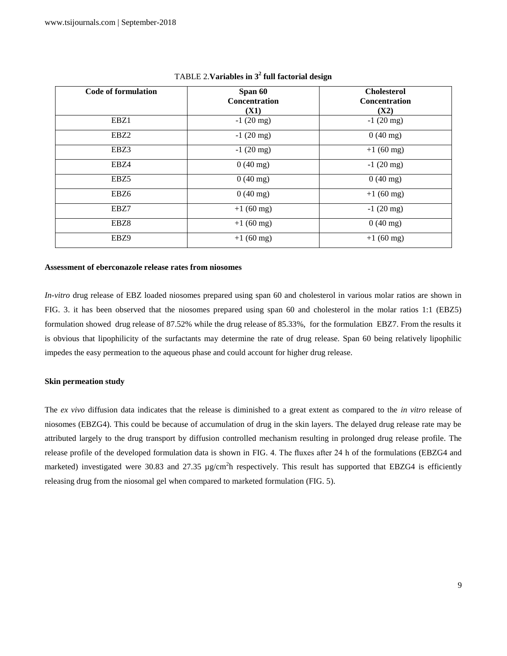| <b>Code of formulation</b> | Span 60<br><b>Concentration</b><br>(X1) | <b>Cholesterol</b><br><b>Concentration</b><br>(X2) |
|----------------------------|-----------------------------------------|----------------------------------------------------|
| EBZ1                       | $-1(20$ mg)                             | $-1(20$ mg)                                        |
| EBZ <sub>2</sub>           | $-1(20$ mg)                             | $0(40 \text{ mg})$                                 |
| EBZ3                       | $-1(20$ mg)                             | $+1(60$ mg)                                        |
| EBZ4                       | $0(40 \text{ mg})$                      | $-1(20$ mg)                                        |
| EBZ <sub>5</sub>           | $0(40 \text{ mg})$                      | $0(40 \text{ mg})$                                 |
| EBZ <sub>6</sub>           | $0(40 \text{ mg})$                      | $+1(60$ mg)                                        |
| EBZ7                       | $+1(60$ mg)                             | $-1(20$ mg)                                        |
| EBZ8                       | $+1(60$ mg)                             | $0(40 \text{ mg})$                                 |
| EBZ9                       | $+1(60$ mg)                             | $+1(60$ mg)                                        |

## TABLE 2.**Variables in 3<sup>2</sup> full factorial design**

#### **Assessment of eberconazole release rates from niosomes**

*In-vitro* drug release of EBZ loaded niosomes prepared using span 60 and cholesterol in various molar ratios are shown in FIG. 3. it has been observed that the niosomes prepared using span 60 and cholesterol in the molar ratios 1:1 (EBZ5) formulation showed drug release of 87.52% while the drug release of 85.33%, for the formulation EBZ7. From the results it is obvious that lipophilicity of the surfactants may determine the rate of drug release. Span 60 being relatively lipophilic impedes the easy permeation to the aqueous phase and could account for higher drug release.

## **Skin permeation study**

The *ex vivo* diffusion data indicates that the release is diminished to a great extent as compared to the *in vitro* release of niosomes (EBZG4). This could be because of accumulation of drug in the skin layers. The delayed drug release rate may be attributed largely to the drug transport by diffusion controlled mechanism resulting in prolonged drug release profile. The release profile of the developed formulation data is shown in FIG. 4. The fluxes after 24 h of the formulations (EBZG4 and marketed) investigated were 30.83 and 27.35  $\mu$ g/cm<sup>2</sup>h respectively. This result has supported that EBZG4 is efficiently releasing drug from the niosomal gel when compared to marketed formulation (FIG. 5).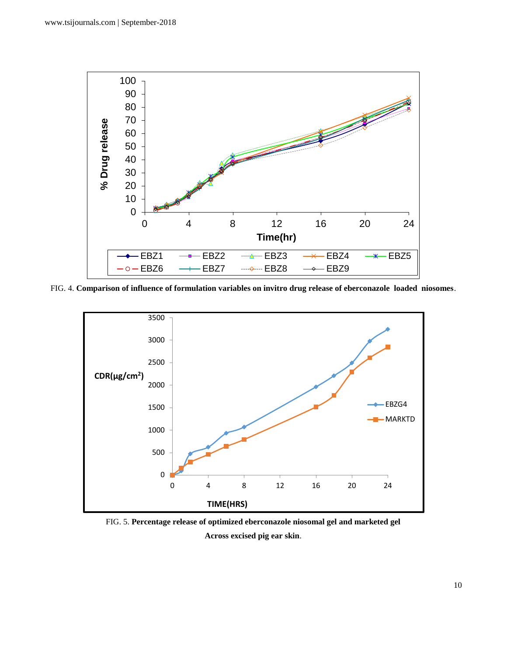

FIG. 4. **Comparison of influence of formulation variables on invitro drug release of eberconazole loaded niosomes**.



FIG. 5. **Percentage release of optimized eberconazole niosomal gel and marketed gel Across excised pig ear skin**.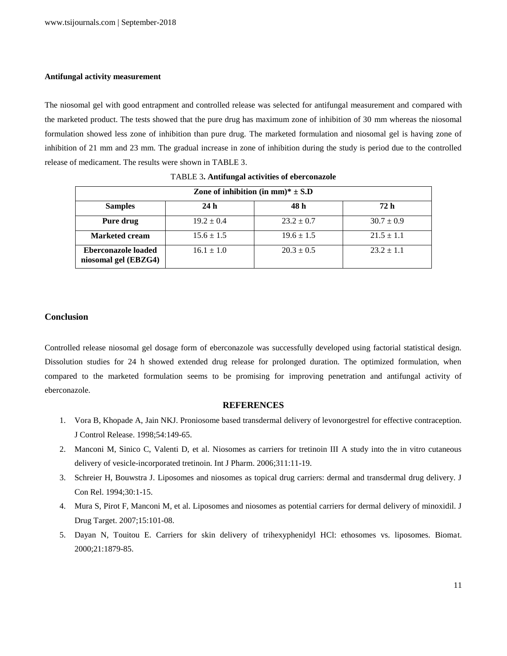## **Antifungal activity measurement**

The niosomal gel with good entrapment and controlled release was selected for antifungal measurement and compared with the marketed product. The tests showed that the pure drug has maximum zone of inhibition of 30 mm whereas the niosomal formulation showed less zone of inhibition than pure drug. The marketed formulation and niosomal gel is having zone of inhibition of 21 mm and 23 mm. The gradual increase in zone of inhibition during the study is period due to the controlled release of medicament. The results were shown in TABLE 3.

| Zone of inhibition (in mm)* $\pm$ S.D              |                |                |                |  |  |
|----------------------------------------------------|----------------|----------------|----------------|--|--|
| <b>Samples</b>                                     | 24h            | 48 h           | 72 h           |  |  |
| Pure drug                                          | $19.2 \pm 0.4$ | $23.2 \pm 0.7$ | $30.7 \pm 0.9$ |  |  |
| <b>Marketed cream</b>                              | $15.6 \pm 1.5$ | $19.6 \pm 1.5$ | $21.5 \pm 1.1$ |  |  |
| <b>Eberconazole loaded</b><br>niosomal gel (EBZG4) | $16.1 \pm 1.0$ | $20.3 \pm 0.5$ | $23.2 \pm 1.1$ |  |  |

TABLE 3**. Antifungal activities of eberconazole**

## **Conclusion**

Controlled release niosomal gel dosage form of eberconazole was successfully developed using factorial statistical design. Dissolution studies for 24 h showed extended drug release for prolonged duration. The optimized formulation, when compared to the marketed formulation seems to be promising for improving penetration and antifungal activity of eberconazole.

## **REFERENCES**

- 1. Vora B, Khopade A, Jain NKJ. Proniosome based transdermal delivery of levonorgestrel for effective contraception. J Control Release. 1998;54:149-65.
- 2. Manconi M, Sinico C, Valenti D, et al. Niosomes as carriers for tretinoin III A study into the in vitro cutaneous delivery of vesicle-incorporated tretinoin. Int J Pharm. 2006;311:11-19.
- 3. Schreier H, Bouwstra J. Liposomes and niosomes as topical drug carriers: dermal and transdermal drug delivery. J Con Rel. 1994;30:1-15.
- 4. Mura S, Pirot F, Manconi M, et al. Liposomes and niosomes as potential carriers for dermal delivery of minoxidil. J Drug Target. 2007;15:101-08.
- 5. Dayan N, Touitou E. Carriers for skin delivery of trihexyphenidyl HCl: ethosomes vs. liposomes. Biomat. 2000;21:1879-85.